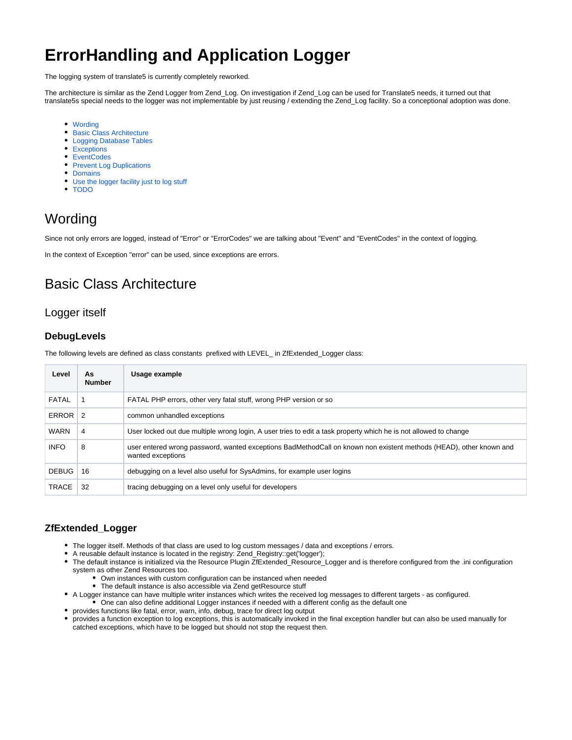# **ErrorHandling and Application Logger**

The logging system of translate5 is currently completely reworked.

The architecture is similar as the Zend Logger from Zend\_Log. On investigation if Zend\_Log can be used for Translate5 needs, it turned out that translate5s special needs to the logger was not implementable by just reusing / extending the Zend\_Log facility. So a conceptional adoption was done.

- [Wording](#page-0-0)
- **[Basic Class Architecture](#page-0-1)**
- [Logging Database Tables](#page-1-0)
- [Exceptions](#page-2-0)
- [EventCodes](#page-2-1)
- [Prevent Log Duplications](#page-2-2)
- [Domains](#page-2-3)
- [Use the logger facility just to log stuff](#page-3-0)
- [TODO](#page-4-0)

# <span id="page-0-0"></span>Wording

Since not only errors are logged, instead of "Error" or "ErrorCodes" we are talking about "Event" and "EventCodes" in the context of logging.

In the context of Exception "error" can be used, since exceptions are errors.

# <span id="page-0-1"></span>Basic Class Architecture

## Logger itself

### **DebugLevels**

The following levels are defined as class constants prefixed with LEVEL\_ in ZfExtended\_Logger class:

| Level           | As<br><b>Number</b> | Usage example                                                                                                                           |
|-----------------|---------------------|-----------------------------------------------------------------------------------------------------------------------------------------|
| <b>FATAL</b>    |                     | FATAL PHP errors, other very fatal stuff, wrong PHP version or so                                                                       |
| ERROR $\vert$ 2 |                     | common unhandled exceptions                                                                                                             |
| <b>WARN</b>     | 4                   | User locked out due multiple wrong login, A user tries to edit a task property which he is not allowed to change                        |
| <b>INFO</b>     | 8                   | user entered wrong password, wanted exceptions BadMethodCall on known non existent methods (HEAD), other known and<br>wanted exceptions |
| <b>DEBUG</b>    | 16                  | debugging on a level also useful for SysAdmins, for example user logins                                                                 |
| <b>TRACE</b>    | 32                  | tracing debugging on a level only useful for developers                                                                                 |

## **ZfExtended\_Logger**

- The logger itself. Methods of that class are used to log custom messages / data and exceptions / errors.
- A reusable default instance is located in the registry: Zend\_Registry::get('logger');
- $\bullet$ The default instance is initialized via the Resource Plugin ZfExtended\_Resource\_Logger and is therefore configured from the .ini configuration system as other Zend Resources too.
	- Own instances with custom configuration can be instanced when needed
	- The default instance is also accessible via Zend getResource stuff
- A Logger instance can have multiple writer instances which writes the received log messages to different targets as configured.
	- One can also define additional Logger instances if needed with a different config as the default one
- provides functions like fatal, error, warn, info, debug, trace for direct log output
- provides a function exception to log exceptions, this is automatically invoked in the final exception handler but can also be used manually for catched exceptions, which have to be logged but should not stop the request then.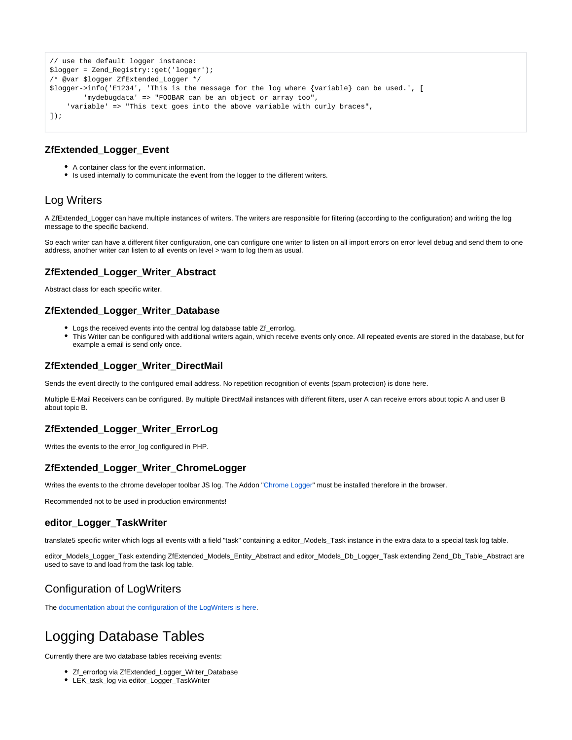```
// use the default logger instance:
$logger = Zend_Registry::get('logger');
/* @var $logger ZfExtended_Logger */
$logger->info('E1234', 'This is the message for the log where {variable} can be used.', [
         'mydebugdata' => "FOOBAR can be an object or array too",
     'variable' => "This text goes into the above variable with curly braces",
]);
```
### **ZfExtended\_Logger\_Event**

- A container class for the event information.
- Is used internally to communicate the event from the logger to the different writers.

## Log Writers

A ZfExtended\_Logger can have multiple instances of writers. The writers are responsible for filtering (according to the configuration) and writing the log message to the specific backend.

So each writer can have a different filter configuration, one can configure one writer to listen on all import errors on error level debug and send them to one address, another writer can listen to all events on level > warn to log them as usual.

## **ZfExtended\_Logger\_Writer\_Abstract**

Abstract class for each specific writer.

## **ZfExtended\_Logger\_Writer\_Database**

- Logs the received events into the central log database table Zf\_errorlog.
- This Writer can be configured with additional writers again, which receive events only once. All repeated events are stored in the database, but for example a email is send only once.

### **ZfExtended\_Logger\_Writer\_DirectMail**

Sends the event directly to the configured email address. No repetition recognition of events (spam protection) is done here.

Multiple E-Mail Receivers can be configured. By multiple DirectMail instances with different filters, user A can receive errors about topic A and user B about topic B.

## **ZfExtended\_Logger\_Writer\_ErrorLog**

Writes the events to the error\_log configured in PHP.

## **ZfExtended\_Logger\_Writer\_ChromeLogger**

Writes the events to the chrome developer toolbar JS log. The Addon ["Chrome Logger"](https://craig.is/writing/chrome-logger) must be installed therefore in the browser.

Recommended not to be used in production environments!

#### **editor\_Logger\_TaskWriter**

translate5 specific writer which logs all events with a field "task" containing a editor\_Models\_Task instance in the extra data to a special task log table.

editor\_Models\_Logger\_Task extending ZfExtended\_Models\_Entity\_Abstract and editor\_Models\_Db\_Logger\_Task extending Zend\_Db\_Table\_Abstract are used to save to and load from the task log table.

## Configuration of LogWriters

The [documentation about the configuration of the LogWriters is here](https://confluence.translate5.net/display/TAD/Logger+Configuration).

# <span id="page-1-0"></span>Logging Database Tables

Currently there are two database tables receiving events:

- Zf\_errorlog via ZfExtended\_Logger\_Writer\_Database
- LEK\_task\_log via editor\_Logger\_TaskWriter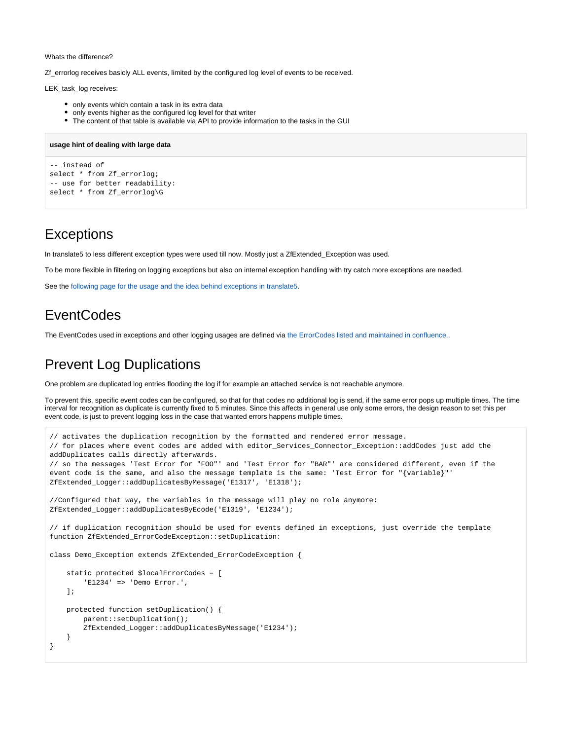#### Whats the difference?

Zf\_errorlog receives basicly ALL events, limited by the configured log level of events to be received.

LEK\_task\_log receives:

- only events which contain a task in its extra data
- only events higher as the configured log level for that writer
- The content of that table is available via API to provide information to the tasks in the GUI

#### **usage hint of dealing with large data**

```
-- instead of 
select * from Zf_errorlog;
-- use for better readability:
select * from Zf_errorlog\G
```
# <span id="page-2-0"></span>**Exceptions**

In translate5 to less different exception types were used till now. Mostly just a ZfExtended Exception was used.

To be more flexible in filtering on logging exceptions but also on internal exception handling with try catch more exceptions are needed.

See the [following page for the usage and the idea behind exceptions in translate5.](https://confluence.translate5.net/display/TAD/Exception+Usage)

# <span id="page-2-1"></span>**EventCodes**

The EventCodes used in exceptions and other logging usages are defined via [the ErrorCodes listed and maintained in confluence..](https://confluence.translate5.net/display/TAD/EventCodes)

# <span id="page-2-2"></span>Prevent Log Duplications

One problem are duplicated log entries flooding the log if for example an attached service is not reachable anymore.

To prevent this, specific event codes can be configured, so that for that codes no additional log is send, if the same error pops up multiple times. The time interval for recognition as duplicate is currently fixed to 5 minutes. Since this affects in general use only some errors, the design reason to set this per event code, is just to prevent logging loss in the case that wanted errors happens multiple times.

```
// activates the duplication recognition by the formatted and rendered error message.
// for places where event codes are added with editor_Services_Connector_Exception::addCodes just add the 
addDuplicates calls directly afterwards.
// so the messages 'Test Error for "FOO"' and 'Test Error for "BAR"' are considered different, even if the 
event code is the same, and also the message template is the same: 'Test Error for "{variable}"'
ZfExtended_Logger::addDuplicatesByMessage('E1317', 'E1318'); 
//Configured that way, the variables in the message will play no role anymore:
ZfExtended_Logger::addDuplicatesByEcode('E1319', 'E1234'); 
// if duplication recognition should be used for events defined in exceptions, just override the template 
function ZfExtended_ErrorCodeException::setDuplication: 
class Demo_Exception extends ZfExtended_ErrorCodeException {
     static protected $localErrorCodes = [
         'E1234' => 'Demo Error.',
     ];
    protected function setDuplication() {
         parent::setDuplication();
         ZfExtended_Logger::addDuplicatesByMessage('E1234');
 }
}
```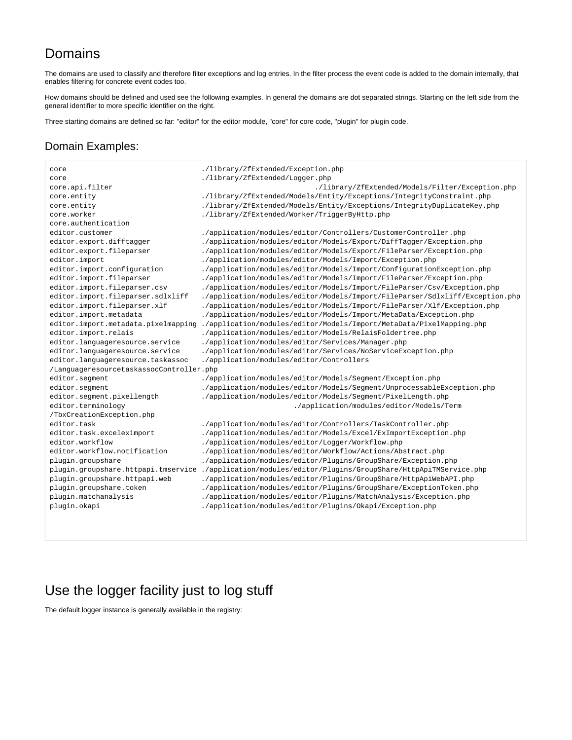# Domains

The domains are used to classify and therefore filter exceptions and log entries. In the filter process the event code is added to the domain internally, that enables filtering for concrete event codes too.

How domains should be defined and used see the following examples. In general the domains are dot separated strings. Starting on the left side from the general identifier to more specific identifier on the right.

Three starting domains are defined so far: "editor" for the editor module, "core" for core code, "plugin" for plugin code.

## Domain Examples:

core ./library/ZfExtended/Exception.php core ./library/ZfExtended/Logger.php core.api.filter ./library/ZfExtended/Models/Filter/Exception.php core.entity ./library/ZfExtended/Models/Entity/Exceptions/IntegrityConstraint.php core.entity ./library/ZfExtended/Models/Entity/Exceptions/IntegrityDuplicateKey.php core.worker ./library/ZfExtended/Worker/TriggerByHttp.php core.authentication editor.customer ./application/modules/editor/Controllers/CustomerController.php editor.export.difftagger ./application/modules/editor/Models/Export/DiffTagger/Exception.php editor.export.fileparser ./application/modules/editor/Models/Export/FileParser/Exception.php editor.import ./application/modules/editor/Models/Import/Exception.php editor.import.configuration ./application/modules/editor/Models/Import/ConfigurationException.php editor.import.fileparser ./application/modules/editor/Models/Import/FileParser/Exception.php editor.import.fileparser.csv ./application/modules/editor/Models/Import/FileParser/Csv/Exception.php editor.import.fileparser.sdlxliff ./application/modules/editor/Models/Import/FileParser/Sdlxliff/Exception.php editor.import.fileparser.xlf .../application/modules/editor/Models/Import/FileParser/Xlf/Exception.php editor.import.metadata ./application/modules/editor/Models/Import/MetaData/Exception.php editor.import.metadata.pixelmapping ./application/modules/editor/Models/Import/MetaData/PixelMapping.php editor.import.relais ./application/modules/editor/Models/RelaisFoldertree.php editor.languageresource.service ./application/modules/editor/Services/Manager.php editor.languageresource.service ./application/modules/editor/Services/NoServiceException.php editor.languageresource.taskassoc ./application/modules/editor/Controllers /LanguageresourcetaskassocController.php editor.segment ./application/modules/editor/Models/Segment/Exception.php editor.segment ./application/modules/editor/Models/Segment/UnprocessableException.php editor.segment.pixellength ./application/modules/editor/Models/Segment/PixelLength.php editor.terminology ./application/modules/editor/Models/Term /TbxCreationException.php editor.task ./application/modules/editor/Controllers/TaskController.php editor.task.exceleximport ... /application/modules/editor/Models/Excel/ExImportException.php editor.workflow ./application/modules/editor/Logger/Workflow.php editor.workflow.notification ./application/modules/editor/Workflow/Actions/Abstract.php plugin.groupshare ./application/modules/editor/Plugins/GroupShare/Exception.php plugin.groupshare.httpapi.tmservice ./application/modules/editor/Plugins/GroupShare/HttpApiTMService.php plugin.groupshare.httpapi.web ./application/modules/editor/Plugins/GroupShare/HttpApiWebAPI.php plugin.groupshare.token ./application/modules/editor/Plugins/GroupShare/ExceptionToken.php plugin.matchanalysis ./application/modules/editor/Plugins/MatchAnalysis/Exception.php plugin.okapi ./application/modules/editor/Plugins/Okapi/Exception.php

# <span id="page-3-0"></span>Use the logger facility just to log stuff

The default logger instance is generally available in the registry: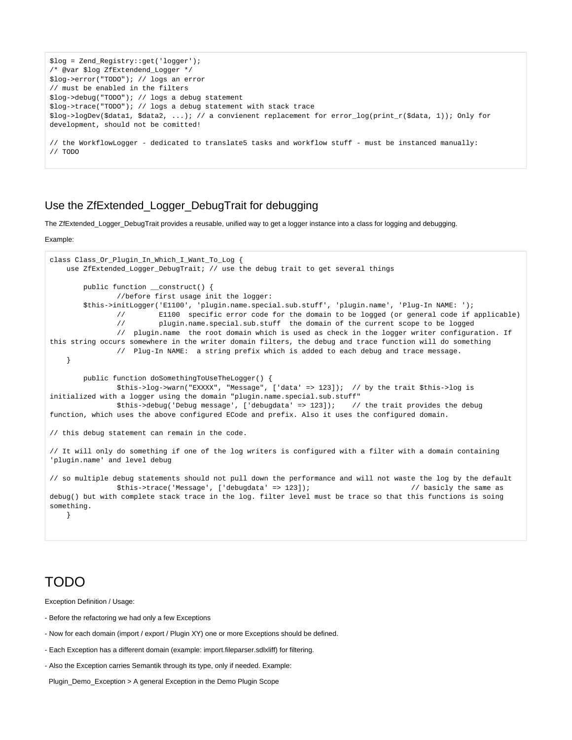```
$log = Zend_Registry::get('logger');
/* @var $log ZfExtendend_Logger */
$log->error("TODO"); // logs an error
// must be enabled in the filters
$log->debug("TODO"); // logs a debug statement
$log->trace("TODO"); // logs a debug statement with stack trace
$log->logDev($data1, $data2, ...); // a convienent replacement for error_log(print_r($data, 1)); Only for 
development, should not be comitted!
// the WorkflowLogger - dedicated to translate5 tasks and workflow stuff - must be instanced manually:
// TODO
```
## Use the ZfExtended\_Logger\_DebugTrait for debugging

The ZfExtended\_Logger\_DebugTrait provides a reusable, unified way to get a logger instance into a class for logging and debugging.

#### Example:

```
class Class_Or_Plugin_In_Which_I_Want_To_Log {
     use ZfExtended_Logger_DebugTrait; // use the debug trait to get several things
         public function __construct() {
                 //before first usage init the logger:
         $this->initLogger('E1100', 'plugin.name.special.sub.stuff', 'plugin.name', 'Plug-In NAME: ');
                 // E1100 specific error code for the domain to be logged (or general code if applicable)
                 // plugin.name.special.sub.stuff the domain of the current scope to be logged
                 // plugin.name the root domain which is used as check in the logger writer configuration. If 
this string occurs somewhere in the writer domain filters, the debug and trace function will do something
                 // Plug-In NAME: a string prefix which is added to each debug and trace message.
     }
         public function doSomethingToUseTheLogger() {
                 $this->log->warn("EXXXX", "Message", ['data' => 123]); // by the trait $this->log is 
initialized with a logger using the domain "plugin.name.special.sub.stuff"<br>$this->debug('Debug message', ['debugdata' => 123]); // the trait provides the debug
                $this->debug('Debug message', ['debugdata' => 123]);
function, which uses the above configured ECode and prefix. Also it uses the configured domain. 
// this debug statement can remain in the code. 
// It will only do something if one of the log writers is configured with a filter with a domain containing 
'plugin.name' and level debug
// so multiple debug statements should not pull down the performance and will not waste the log by the default
                 $this->trace('Message', ['debugdata' => 123]); // basicly the same as 
debug() but with complete stack trace in the log. filter level must be trace so that this functions is soing 
something.
    }
```
## <span id="page-4-0"></span>TODO

Exception Definition / Usage:

- Before the refactoring we had only a few Exceptions
- Now for each domain (import / export / Plugin XY) one or more Exceptions should be defined.
- Each Exception has a different domain (example: import.fileparser.sdlxliff) for filtering.
- Also the Exception carries Semantik through its type, only if needed. Example:
- Plugin\_Demo\_Exception > A general Exception in the Demo Plugin Scope